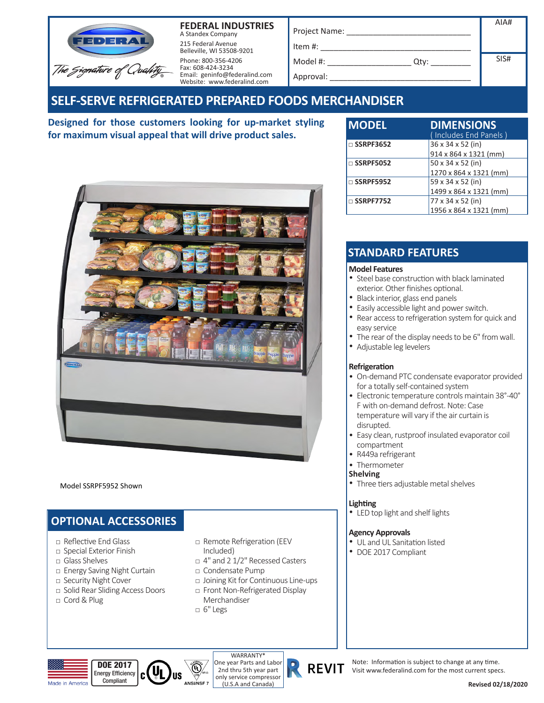

**FEDERAL INDUSTRIES** A Standex Company 215 Federal Avenue Belleville, WI 53508-9201 Phone: 800-356-4206

Fax: 608-424-3234

| Project Name:                                | AIA# |
|----------------------------------------------|------|
| Item #:                                      |      |
| Model #:<br>Qtv:<br><b>Contract Contract</b> | SIS# |
| Approval:                                    |      |

# **SELF-SERVE REFRIGERATED PREPARED FOODS MERCHANDISER**

Email: geninfo@federalind.com Website: www.federalind.com

**Designed for those customers looking for up-market styling for maximum visual appeal that will drive product sales.** 

| <b>MODEL</b>        | <b>DIMENSIONS</b><br>Includes End Panels) |
|---------------------|-------------------------------------------|
| $\Box$ SSRPF3652    | 36 x 34 x 52 (in)                         |
|                     | 914 x 864 x 1321 (mm)                     |
| $\square$ SSRPF5052 | 50 x 34 x 52 (in)                         |
|                     | 1270 x 864 x 1321 (mm)                    |
| $\square$ SSRPF5952 | 59 x 34 x 52 (in)                         |
|                     | 1499 x 864 x 1321 (mm)                    |
| $\Box$ SSRPF7752    | 77 x 34 x 52 (in)                         |
|                     | 1956 x 864 x 1321 (mm)                    |

### **STANDARD FEATURES**

#### **Model Features**

- Steel base construction with black laminated exterior. Other finishes optional.<br>• Black interior, glass end panels
- 
- Easily accessible light and power switch.
- Rear access to refrigeration system for quick and easy service
- The rear of the display needs to be 6" from wall.
- Adjustable leg levelers

#### **Refrigeration**

- On-demand PTC condensate evaporator provided for a totally self-contained system
- Electronic temperature controls maintain 38°-40° F with on-demand defrost. Note: Case temperature will vary if the air curtain is disrupted.
- Easy clean, rustproof insulated evaporator coil compartment
- R449a refrigerant
- Thermometer

#### **Shelving**

• Three tiers adjustable metal shelves

### **Lighting**

• LED top light and shelf lights

#### **Agency Approvals**

- UL and UL Sanitation listed
- DOE 2017 Compliant

Model SSRPF5952 Shown

## **OPTIONAL ACCESSORIES**

- **□** Reflective End Glass
- **□** Special Exterior Finish
- **□** Glass Shelves
- **□** Energy Saving Night Curtain
- **□** Security Night Cover
- **□** Solid Rear Sliding Access Doors

C

**□** Cord&Plug

- □ Remote Refrigeration (EEV Included)
- □ 4" and 2 1/2" Recessed Casters
- **□** Condensate Pump
- □ Joining Kit for Continuous Line-ups
- □ Front Non-Refrigerated Display Merchandiser
- **□** 6" Legs

 $^{\circledR}$ 







Note: Information is subject to change at any time. Visit www.federalind.com for the most current specs.